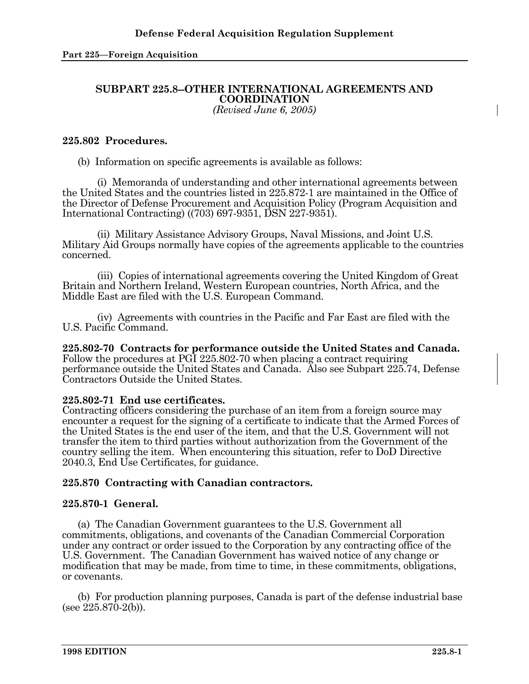# **SUBPART 225.8--OTHER INTERNATIONAL AGREEMENTS AND COORDINATION**

*(Revised June 6, 2005)*

#### **225.802 Procedures.**

(b) Information on specific agreements is available as follows:

 (i) Memoranda of understanding and other international agreements between the United States and the countries listed in 225.872-1 are maintained in the Office of the Director of Defense Procurement and Acquisition Policy (Program Acquisition and International Contracting) ((703) 697-9351, DSN 227-9351).

 (ii) Military Assistance Advisory Groups, Naval Missions, and Joint U.S. Military Aid Groups normally have copies of the agreements applicable to the countries concerned.

 (iii) Copies of international agreements covering the United Kingdom of Great Britain and Northern Ireland, Western European countries, North Africa, and the Middle East are filed with the U.S. European Command.

 (iv) Agreements with countries in the Pacific and Far East are filed with the U.S. Pacific Command.

**225.802-70 Contracts for performance outside the United States and Canada.**  Follow the procedures at PGI 225.802-70 when placing a contract requiring performance outside the United States and Canada. Also see Subpart 225.74, Defense Contractors Outside the United States.

## **225.802-71 End use certificates.**

Contracting officers considering the purchase of an item from a foreign source may encounter a request for the signing of a certificate to indicate that the Armed Forces of the United States is the end user of the item, and that the U.S. Government will not transfer the item to third parties without authorization from the Government of the country selling the item. When encountering this situation, refer to DoD Directive 2040.3, End Use Certificates, for guidance.

## **225.870 Contracting with Canadian contractors.**

#### **225.870-1 General.**

 (a) The Canadian Government guarantees to the U.S. Government all commitments, obligations, and covenants of the Canadian Commercial Corporation under any contract or order issued to the Corporation by any contracting office of the U.S. Government. The Canadian Government has waived notice of any change or modification that may be made, from time to time, in these commitments, obligations, or covenants.

 (b) For production planning purposes, Canada is part of the defense industrial base (see 225.870-2(b)).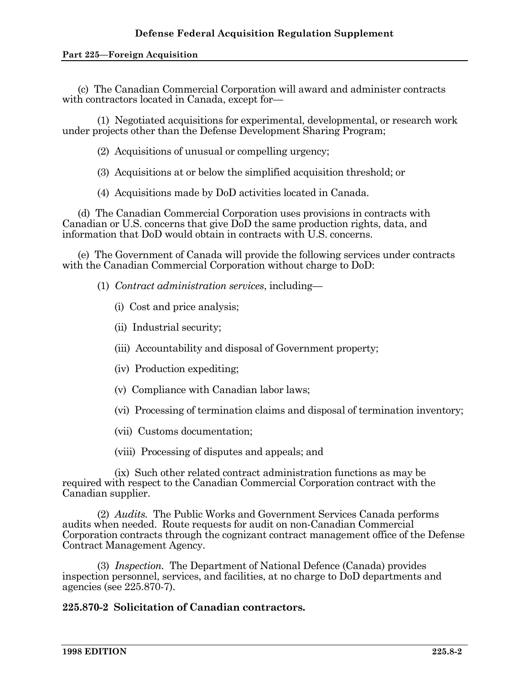(c) The Canadian Commercial Corporation will award and administer contracts with contractors located in Canada, except for—

 (1) Negotiated acquisitions for experimental, developmental, or research work under projects other than the Defense Development Sharing Program;

(2) Acquisitions of unusual or compelling urgency;

(3) Acquisitions at or below the simplified acquisition threshold; or

(4) Acquisitions made by DoD activities located in Canada.

 (d) The Canadian Commercial Corporation uses provisions in contracts with Canadian or U.S. concerns that give DoD the same production rights, data, and information that DoD would obtain in contracts with U.S. concerns.

 (e) The Government of Canada will provide the following services under contracts with the Canadian Commercial Corporation without charge to DoD:

(1) *Contract administration services*, including—

- (i) Cost and price analysis;
- (ii) Industrial security;
- (iii) Accountability and disposal of Government property;
- (iv) Production expediting;
- (v) Compliance with Canadian labor laws;
- (vi) Processing of termination claims and disposal of termination inventory;
- (vii) Customs documentation;

(viii) Processing of disputes and appeals; and

 (ix) Such other related contract administration functions as may be required with respect to the Canadian Commercial Corporation contract with the Canadian supplier.

 (2) *Audits.* The Public Works and Government Services Canada performs audits when needed. Route requests for audit on non-Canadian Commercial Corporation contracts through the cognizant contract management office of the Defense Contract Management Agency.

 (3) *Inspection.* The Department of National Defence (Canada) provides inspection personnel, services, and facilities, at no charge to DoD departments and agencies (see 225.870-7).

## **225.870-2 Solicitation of Canadian contractors.**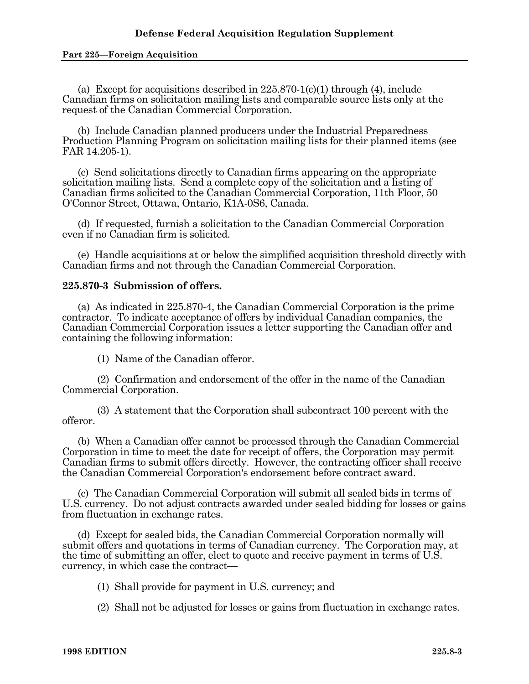(a) Except for acquisitions described in  $225.870-1(c)(1)$  through (4), include Canadian firms on solicitation mailing lists and comparable source lists only at the request of the Canadian Commercial Corporation.

 (b) Include Canadian planned producers under the Industrial Preparedness Production Planning Program on solicitation mailing lists for their planned items (see FAR 14.205-1).

 (c) Send solicitations directly to Canadian firms appearing on the appropriate solicitation mailing lists. Send a complete copy of the solicitation and a listing of Canadian firms solicited to the Canadian Commercial Corporation, 11th Floor, 50 O'Connor Street, Ottawa, Ontario, K1A-0S6, Canada.

 (d) If requested, furnish a solicitation to the Canadian Commercial Corporation even if no Canadian firm is solicited.

 (e) Handle acquisitions at or below the simplified acquisition threshold directly with Canadian firms and not through the Canadian Commercial Corporation.

### **225.870-3 Submission of offers.**

 (a) As indicated in 225.870-4, the Canadian Commercial Corporation is the prime contractor. To indicate acceptance of offers by individual Canadian companies, the Canadian Commercial Corporation issues a letter supporting the Canadian offer and containing the following information:

(1) Name of the Canadian offeror.

 (2) Confirmation and endorsement of the offer in the name of the Canadian Commercial Corporation.

 (3) A statement that the Corporation shall subcontract 100 percent with the offeror.

 (b) When a Canadian offer cannot be processed through the Canadian Commercial Corporation in time to meet the date for receipt of offers, the Corporation may permit Canadian firms to submit offers directly. However, the contracting officer shall receive the Canadian Commercial Corporation's endorsement before contract award.

 (c) The Canadian Commercial Corporation will submit all sealed bids in terms of U.S. currency. Do not adjust contracts awarded under sealed bidding for losses or gains from fluctuation in exchange rates.

 (d) Except for sealed bids, the Canadian Commercial Corporation normally will submit offers and quotations in terms of Canadian currency. The Corporation may, at the time of submitting an offer, elect to quote and receive payment in terms of U.S. currency, in which case the contract—

(1) Shall provide for payment in U.S. currency; and

(2) Shall not be adjusted for losses or gains from fluctuation in exchange rates.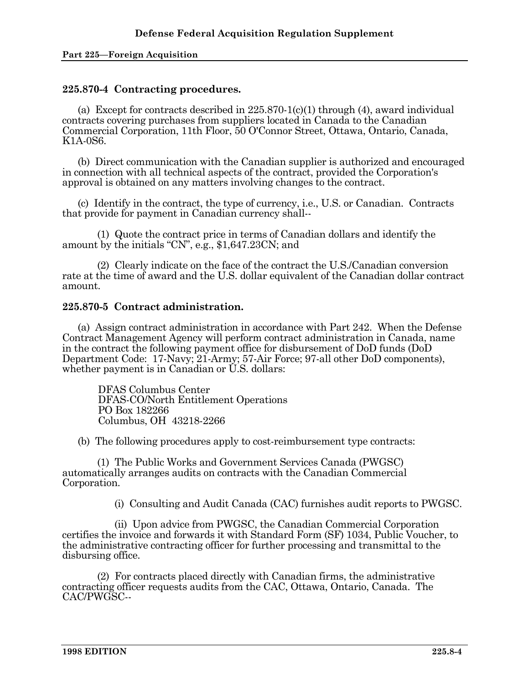### **225.870-4 Contracting procedures.**

(a) Except for contracts described in  $225.870-1(c)(1)$  through (4), award individual contracts covering purchases from suppliers located in Canada to the Canadian Commercial Corporation, 11th Floor, 50 O'Connor Street, Ottawa, Ontario, Canada, K1A-0S6.

 (b) Direct communication with the Canadian supplier is authorized and encouraged in connection with all technical aspects of the contract, provided the Corporation's approval is obtained on any matters involving changes to the contract.

 (c) Identify in the contract, the type of currency, i.e., U.S. or Canadian. Contracts that provide for payment in Canadian currency shall--

 (1) Quote the contract price in terms of Canadian dollars and identify the amount by the initials "CN", e.g., \$1,647.23CN; and

 (2) Clearly indicate on the face of the contract the U.S./Canadian conversion rate at the time of award and the U.S. dollar equivalent of the Canadian dollar contract amount.

#### **225.870-5 Contract administration.**

 (a) Assign contract administration in accordance with Part 242. When the Defense Contract Management Agency will perform contract administration in Canada, name in the contract the following payment office for disbursement of DoD funds (DoD Department Code: 17-Navy; 21-Army; 57-Air Force; 97-all other DoD components), whether payment is in Canadian or U.S. dollars:

DFAS Columbus Center DFAS-CO/North Entitlement Operations PO Box 182266 Columbus, OH 43218-2266

(b) The following procedures apply to cost-reimbursement type contracts:

 (1) The Public Works and Government Services Canada (PWGSC) automatically arranges audits on contracts with the Canadian Commercial Corporation.

(i) Consulting and Audit Canada (CAC) furnishes audit reports to PWGSC.

 (ii) Upon advice from PWGSC, the Canadian Commercial Corporation certifies the invoice and forwards it with Standard Form (SF) 1034, Public Voucher, to the administrative contracting officer for further processing and transmittal to the disbursing office.

 (2) For contracts placed directly with Canadian firms, the administrative contracting officer requests audits from the CAC, Ottawa, Ontario, Canada. The CAC/PWGSC--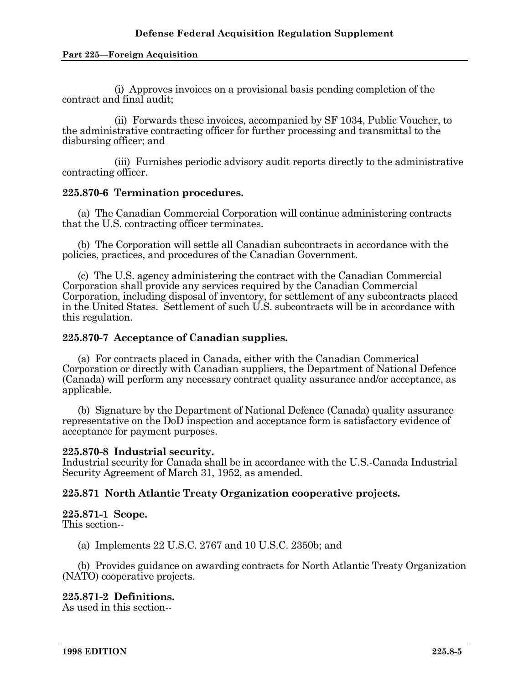(i) Approves invoices on a provisional basis pending completion of the contract and final audit;

 (ii) Forwards these invoices, accompanied by SF 1034, Public Voucher, to the administrative contracting officer for further processing and transmittal to the disbursing officer; and

 (iii) Furnishes periodic advisory audit reports directly to the administrative contracting officer.

#### **225.870-6 Termination procedures.**

 (a) The Canadian Commercial Corporation will continue administering contracts that the U.S. contracting officer terminates.

 (b) The Corporation will settle all Canadian subcontracts in accordance with the policies, practices, and procedures of the Canadian Government.

 (c) The U.S. agency administering the contract with the Canadian Commercial Corporation shall provide any services required by the Canadian Commercial Corporation, including disposal of inventory, for settlement of any subcontracts placed in the United States. Settlement of such U.S. subcontracts will be in accordance with this regulation.

#### **225.870-7 Acceptance of Canadian supplies.**

 (a) For contracts placed in Canada, either with the Canadian Commerical Corporation or directly with Canadian suppliers, the Department of National Defence (Canada) will perform any necessary contract quality assurance and/or acceptance, as applicable.

 (b) Signature by the Department of National Defence (Canada) quality assurance representative on the DoD inspection and acceptance form is satisfactory evidence of acceptance for payment purposes.

#### **225.870-8 Industrial security.**

Industrial security for Canada shall be in accordance with the U.S.-Canada Industrial Security Agreement of March 31, 1952, as amended.

## **225.871 North Atlantic Treaty Organization cooperative projects.**

#### **225.871-1 Scope.**

This section--

(a) Implements 22 U.S.C. 2767 and 10 U.S.C. 2350b; and

 (b) Provides guidance on awarding contracts for North Atlantic Treaty Organization (NATO) cooperative projects.

## **225.871-2 Definitions.**

As used in this section--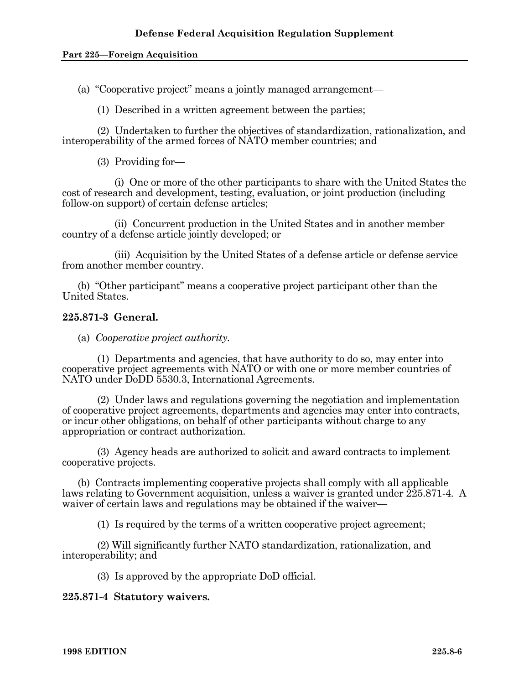(a) "Cooperative project" means a jointly managed arrangement—

(1) Described in a written agreement between the parties;

 (2) Undertaken to further the objectives of standardization, rationalization, and interoperability of the armed forces of NATO member countries; and

(3) Providing for—

 (i) One or more of the other participants to share with the United States the cost of research and development, testing, evaluation, or joint production (including follow-on support) of certain defense articles;

 (ii) Concurrent production in the United States and in another member country of a defense article jointly developed; or

 (iii) Acquisition by the United States of a defense article or defense service from another member country.

 (b) "Other participant" means a cooperative project participant other than the United States.

## **225.871-3 General.**

(a) *Cooperative project authority.* 

 (1) Departments and agencies, that have authority to do so, may enter into cooperative project agreements with NATO or with one or more member countries of NATO under DoDD 5530.3, International Agreements.

 (2) Under laws and regulations governing the negotiation and implementation of cooperative project agreements, departments and agencies may enter into contracts, or incur other obligations, on behalf of other participants without charge to any appropriation or contract authorization.

 (3) Agency heads are authorized to solicit and award contracts to implement cooperative projects.

 (b) Contracts implementing cooperative projects shall comply with all applicable laws relating to Government acquisition, unless a waiver is granted under 225.871-4. A waiver of certain laws and regulations may be obtained if the waiver—

(1) Is required by the terms of a written cooperative project agreement;

 (2) Will significantly further NATO standardization, rationalization, and interoperability; and

(3) Is approved by the appropriate DoD official.

## **225.871-4 Statutory waivers.**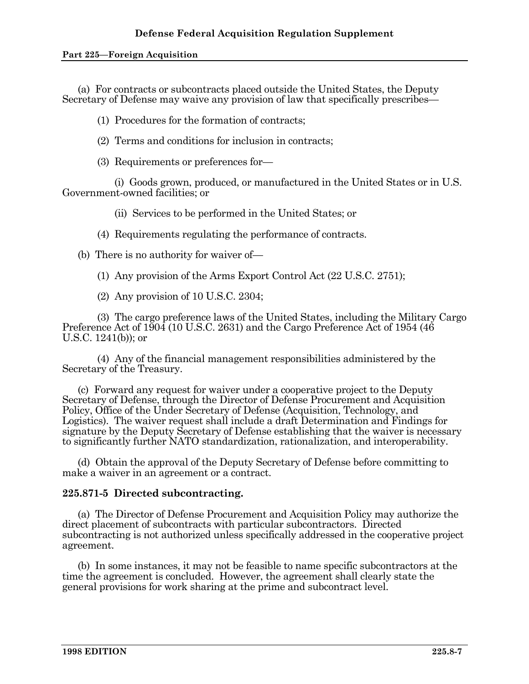(a) For contracts or subcontracts placed outside the United States, the Deputy Secretary of Defense may waive any provision of law that specifically prescribes—

(1) Procedures for the formation of contracts;

(2) Terms and conditions for inclusion in contracts;

(3) Requirements or preferences for—

 (i) Goods grown, produced, or manufactured in the United States or in U.S. Government-owned facilities; or

(ii) Services to be performed in the United States; or

(4) Requirements regulating the performance of contracts.

(b) There is no authority for waiver of—

(1) Any provision of the Arms Export Control Act (22 U.S.C. 2751);

(2) Any provision of 10 U.S.C. 2304;

 (3) The cargo preference laws of the United States, including the Military Cargo Preference Act of 1904 (10 U.S.C. 2631) and the Cargo Preference Act of 1954 (46 U.S.C. 1241(b)); or

 (4) Any of the financial management responsibilities administered by the Secretary of the Treasury.

 (c) Forward any request for waiver under a cooperative project to the Deputy Secretary of Defense, through the Director of Defense Procurement and Acquisition Policy, Office of the Under Secretary of Defense (Acquisition, Technology, and Logistics). The waiver request shall include a draft Determination and Findings for signature by the Deputy Secretary of Defense establishing that the waiver is necessary to significantly further NATO standardization, rationalization, and interoperability.

 (d) Obtain the approval of the Deputy Secretary of Defense before committing to make a waiver in an agreement or a contract.

## **225.871-5 Directed subcontracting.**

 (a) The Director of Defense Procurement and Acquisition Policy may authorize the direct placement of subcontracts with particular subcontractors. Directed subcontracting is not authorized unless specifically addressed in the cooperative project agreement.

 (b) In some instances, it may not be feasible to name specific subcontractors at the time the agreement is concluded. However, the agreement shall clearly state the general provisions for work sharing at the prime and subcontract level.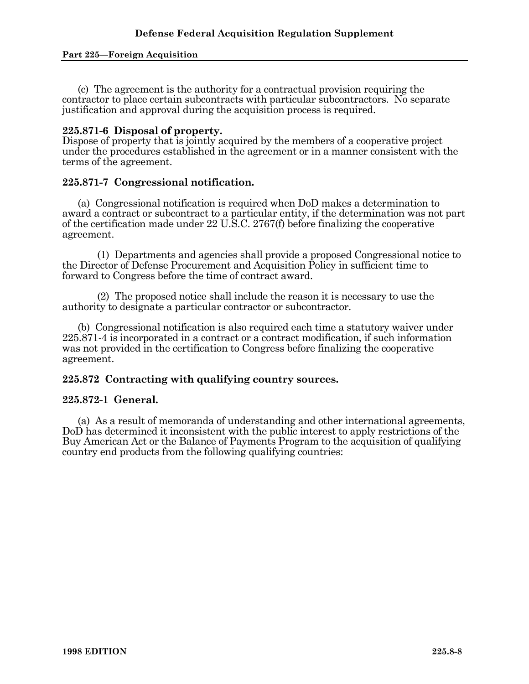(c) The agreement is the authority for a contractual provision requiring the contractor to place certain subcontracts with particular subcontractors. No separate justification and approval during the acquisition process is required.

### **225.871-6 Disposal of property.**

Dispose of property that is jointly acquired by the members of a cooperative project under the procedures established in the agreement or in a manner consistent with the terms of the agreement.

#### **225.871-7 Congressional notification.**

 (a) Congressional notification is required when DoD makes a determination to award a contract or subcontract to a particular entity, if the determination was not part of the certification made under 22 U.S.C. 2767(f) before finalizing the cooperative agreement.

 (1) Departments and agencies shall provide a proposed Congressional notice to the Director of Defense Procurement and Acquisition Policy in sufficient time to forward to Congress before the time of contract award.

 (2) The proposed notice shall include the reason it is necessary to use the authority to designate a particular contractor or subcontractor.

 (b) Congressional notification is also required each time a statutory waiver under 225.871-4 is incorporated in a contract or a contract modification, if such information was not provided in the certification to Congress before finalizing the cooperative agreement.

## **225.872 Contracting with qualifying country sources.**

## **225.872-1 General.**

 (a) As a result of memoranda of understanding and other international agreements, DoD has determined it inconsistent with the public interest to apply restrictions of the Buy American Act or the Balance of Payments Program to the acquisition of qualifying country end products from the following qualifying countries: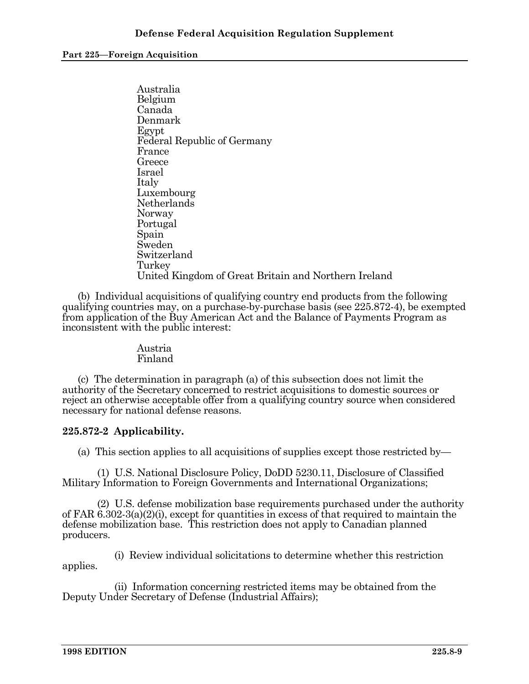Australia Belgium Canada Denmark Egypt Federal Republic of Germany France Greece Israel Italy Luxembourg Netherlands Norway Portugal Spain Sweden Switzerland Turkey United Kingdom of Great Britain and Northern Ireland

 (b) Individual acquisitions of qualifying country end products from the following qualifying countries may, on a purchase-by-purchase basis (see 225.872-4), be exempted from application of the Buy American Act and the Balance of Payments Program as inconsistent with the public interest:

#### Austria Finland

 (c) The determination in paragraph (a) of this subsection does not limit the authority of the Secretary concerned to restrict acquisitions to domestic sources or reject an otherwise acceptable offer from a qualifying country source when considered necessary for national defense reasons.

## **225.872-2 Applicability.**

(a) This section applies to all acquisitions of supplies except those restricted by—

 (1) U.S. National Disclosure Policy, DoDD 5230.11, Disclosure of Classified Military Information to Foreign Governments and International Organizations;

 (2) U.S. defense mobilization base requirements purchased under the authority of FAR 6.302-3(a)(2)(i), except for quantities in excess of that required to maintain the defense mobilization base. This restriction does not apply to Canadian planned producers.

 (i) Review individual solicitations to determine whether this restriction applies.

 (ii) Information concerning restricted items may be obtained from the Deputy Under Secretary of Defense (Industrial Affairs);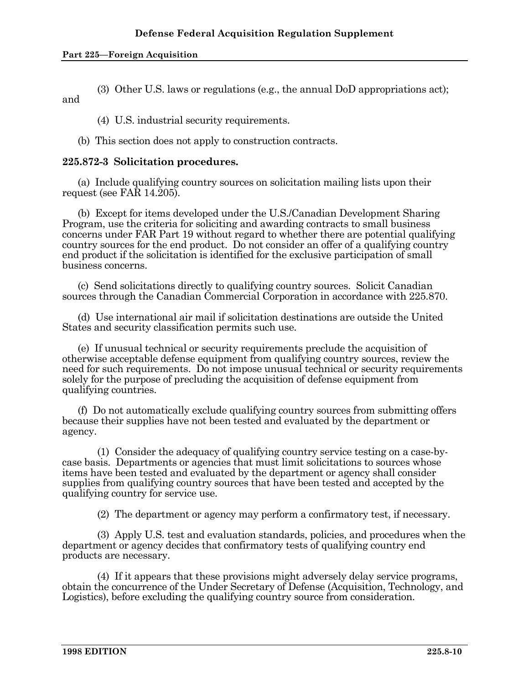(3) Other U.S. laws or regulations (e.g., the annual DoD appropriations act); and

(4) U.S. industrial security requirements.

(b) This section does not apply to construction contracts.

## **225.872-3 Solicitation procedures.**

 (a) Include qualifying country sources on solicitation mailing lists upon their request (see FAR  $14.205$ ).

 (b) Except for items developed under the U.S./Canadian Development Sharing Program, use the criteria for soliciting and awarding contracts to small business concerns under FAR Part 19 without regard to whether there are potential qualifying country sources for the end product. Do not consider an offer of a qualifying country end product if the solicitation is identified for the exclusive participation of small business concerns.

 (c) Send solicitations directly to qualifying country sources. Solicit Canadian sources through the Canadian Commercial Corporation in accordance with 225.870.

 (d) Use international air mail if solicitation destinations are outside the United States and security classification permits such use.

 (e) If unusual technical or security requirements preclude the acquisition of otherwise acceptable defense equipment from qualifying country sources, review the need for such requirements. Do not impose unusual technical or security requirements solely for the purpose of precluding the acquisition of defense equipment from qualifying countries.

 (f) Do not automatically exclude qualifying country sources from submitting offers because their supplies have not been tested and evaluated by the department or agency.

 (1) Consider the adequacy of qualifying country service testing on a case-bycase basis. Departments or agencies that must limit solicitations to sources whose items have been tested and evaluated by the department or agency shall consider supplies from qualifying country sources that have been tested and accepted by the qualifying country for service use.

(2) The department or agency may perform a confirmatory test, if necessary.

 (3) Apply U.S. test and evaluation standards, policies, and procedures when the department or agency decides that confirmatory tests of qualifying country end products are necessary.

 (4) If it appears that these provisions might adversely delay service programs, obtain the concurrence of the Under Secretary of Defense (Acquisition, Technology, and Logistics), before excluding the qualifying country source from consideration.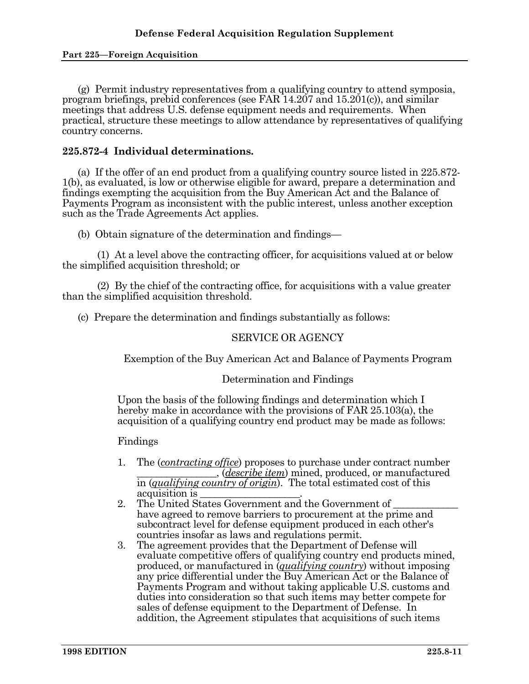(g) Permit industry representatives from a qualifying country to attend symposia, program briefings, prebid conferences (see FAR 14.207 and 15.201(c)), and similar meetings that address U.S. defense equipment needs and requirements. When practical, structure these meetings to allow attendance by representatives of qualifying country concerns.

#### **225.872-4 Individual determinations.**

 (a) If the offer of an end product from a qualifying country source listed in 225.872- 1(b), as evaluated, is low or otherwise eligible for award, prepare a determination and findings exempting the acquisition from the Buy American Act and the Balance of Payments Program as inconsistent with the public interest, unless another exception such as the Trade Agreements Act applies.

(b) Obtain signature of the determination and findings—

 (1) At a level above the contracting officer, for acquisitions valued at or below the simplified acquisition threshold; or

 (2) By the chief of the contracting office, for acquisitions with a value greater than the simplified acquisition threshold.

(c) Prepare the determination and findings substantially as follows:

#### SERVICE OR AGENCY

Exemption of the Buy American Act and Balance of Payments Program

#### Determination and Findings

Upon the basis of the following findings and determination which I hereby make in accordance with the provisions of FAR 25.103(a), the acquisition of a qualifying country end product may be made as follows:

#### Findings

- 1. The (*contracting office*) proposes to purchase under contract number \_\_\_\_\_\_\_\_\_\_\_\_\_\_\_\_, (*describe item*) mined, produced, or manufactured in (*qualifying country of origin*). The total estimated cost of this acquisition is \_\_\_\_\_\_\_\_\_\_\_\_\_\_\_\_\_\_\_\_.
- 2. The United States Government and the Government of have agreed to remove barriers to procurement at the prime and subcontract level for defense equipment produced in each other's countries insofar as laws and regulations permit.
- 3. The agreement provides that the Department of Defense will evaluate competitive offers of qualifying country end products mined, produced, or manufactured in (*qualifying country*) without imposing any price differential under the Buy American Act or the Balance of Payments Program and without taking applicable U.S. customs and duties into consideration so that such items may better compete for sales of defense equipment to the Department of Defense. In addition, the Agreement stipulates that acquisitions of such items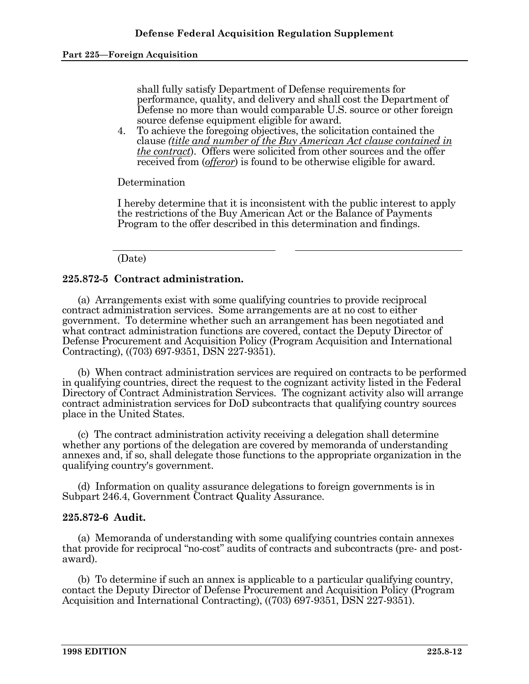shall fully satisfy Department of Defense requirements for performance, quality, and delivery and shall cost the Department of Defense no more than would comparable U.S. source or other foreign source defense equipment eligible for award.

4. To achieve the foregoing objectives, the solicitation contained the clause *(title and number of the Buy American Act clause contained in the contract*). Offers were solicited from other sources and the offer received from (*offeror*) is found to be otherwise eligible for award.

Determination

I hereby determine that it is inconsistent with the public interest to apply the restrictions of the Buy American Act or the Balance of Payments Program to the offer described in this determination and findings.

#### (Date)

## **225.872-5 Contract administration.**

 (a) Arrangements exist with some qualifying countries to provide reciprocal contract administration services. Some arrangements are at no cost to either government. To determine whether such an arrangement has been negotiated and what contract administration functions are covered, contact the Deputy Director of Defense Procurement and Acquisition Policy (Program Acquisition and International Contracting), ((703) 697-9351, DSN 227-9351).

 (b) When contract administration services are required on contracts to be performed in qualifying countries, direct the request to the cognizant activity listed in the Federal Directory of Contract Administration Services. The cognizant activity also will arrange contract administration services for DoD subcontracts that qualifying country sources place in the United States.

 (c) The contract administration activity receiving a delegation shall determine whether any portions of the delegation are covered by memoranda of understanding annexes and, if so, shall delegate those functions to the appropriate organization in the qualifying country's government.

 (d) Information on quality assurance delegations to foreign governments is in Subpart 246.4, Government Contract Quality Assurance.

#### **225.872-6 Audit.**

 (a) Memoranda of understanding with some qualifying countries contain annexes that provide for reciprocal "no-cost" audits of contracts and subcontracts (pre- and postaward).

 (b) To determine if such an annex is applicable to a particular qualifying country, contact the Deputy Director of Defense Procurement and Acquisition Policy (Program Acquisition and International Contracting), ((703) 697-9351, DSN 227-9351).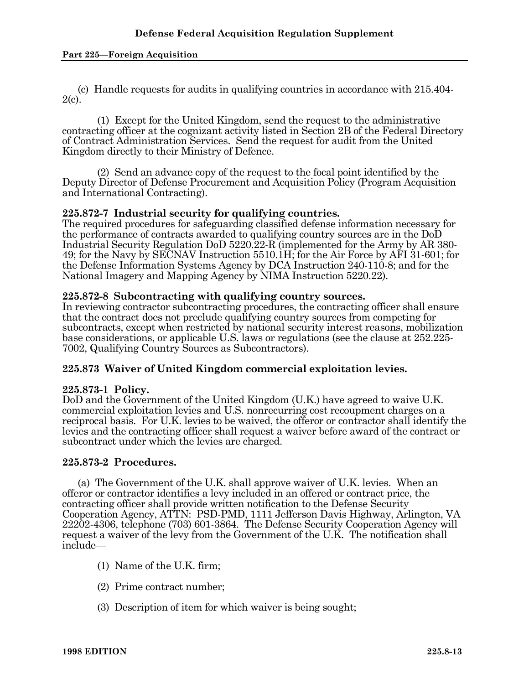(c) Handle requests for audits in qualifying countries in accordance with 215.404-  $2(c)$ .

 (1) Except for the United Kingdom, send the request to the administrative contracting officer at the cognizant activity listed in Section 2B of the Federal Directory of Contract Administration Services. Send the request for audit from the United Kingdom directly to their Ministry of Defence.

 (2) Send an advance copy of the request to the focal point identified by the Deputy Director of Defense Procurement and Acquisition Policy (Program Acquisition and International Contracting).

#### **225.872-7 Industrial security for qualifying countries.**

The required procedures for safeguarding classified defense information necessary for the performance of contracts awarded to qualifying country sources are in the DoD Industrial Security Regulation DoD 5220.22-R (implemented for the Army by AR 380- 49; for the Navy by SECNAV Instruction 5510.1H; for the Air Force by AFI 31-601; for the Defense Information Systems Agency by DCA Instruction 240-110-8; and for the National Imagery and Mapping Agency by NIMA Instruction 5220.22).

#### **225.872-8 Subcontracting with qualifying country sources.**

In reviewing contractor subcontracting procedures, the contracting officer shall ensure that the contract does not preclude qualifying country sources from competing for subcontracts, except when restricted by national security interest reasons, mobilization base considerations, or applicable U.S. laws or regulations (see the clause at 252.225- 7002, Qualifying Country Sources as Subcontractors).

## **225.873 Waiver of United Kingdom commercial exploitation levies.**

#### **225.873-1 Policy.**

DoD and the Government of the United Kingdom (U.K.) have agreed to waive U.K. commercial exploitation levies and U.S. nonrecurring cost recoupment charges on a reciprocal basis. For U.K. levies to be waived, the offeror or contractor shall identify the levies and the contracting officer shall request a waiver before award of the contract or subcontract under which the levies are charged.

#### **225.873-2 Procedures.**

 (a) The Government of the U.K. shall approve waiver of U.K. levies. When an offeror or contractor identifies a levy included in an offered or contract price, the contracting officer shall provide written notification to the Defense Security Cooperation Agency, ATTN: PSD-PMD, 1111 Jefferson Davis Highway, Arlington, VA 22202-4306, telephone (703) 601-3864. The Defense Security Cooperation Agency will request a waiver of the levy from the Government of the U.K. The notification shall include—

- (1) Name of the U.K. firm;
- (2) Prime contract number;
- (3) Description of item for which waiver is being sought;